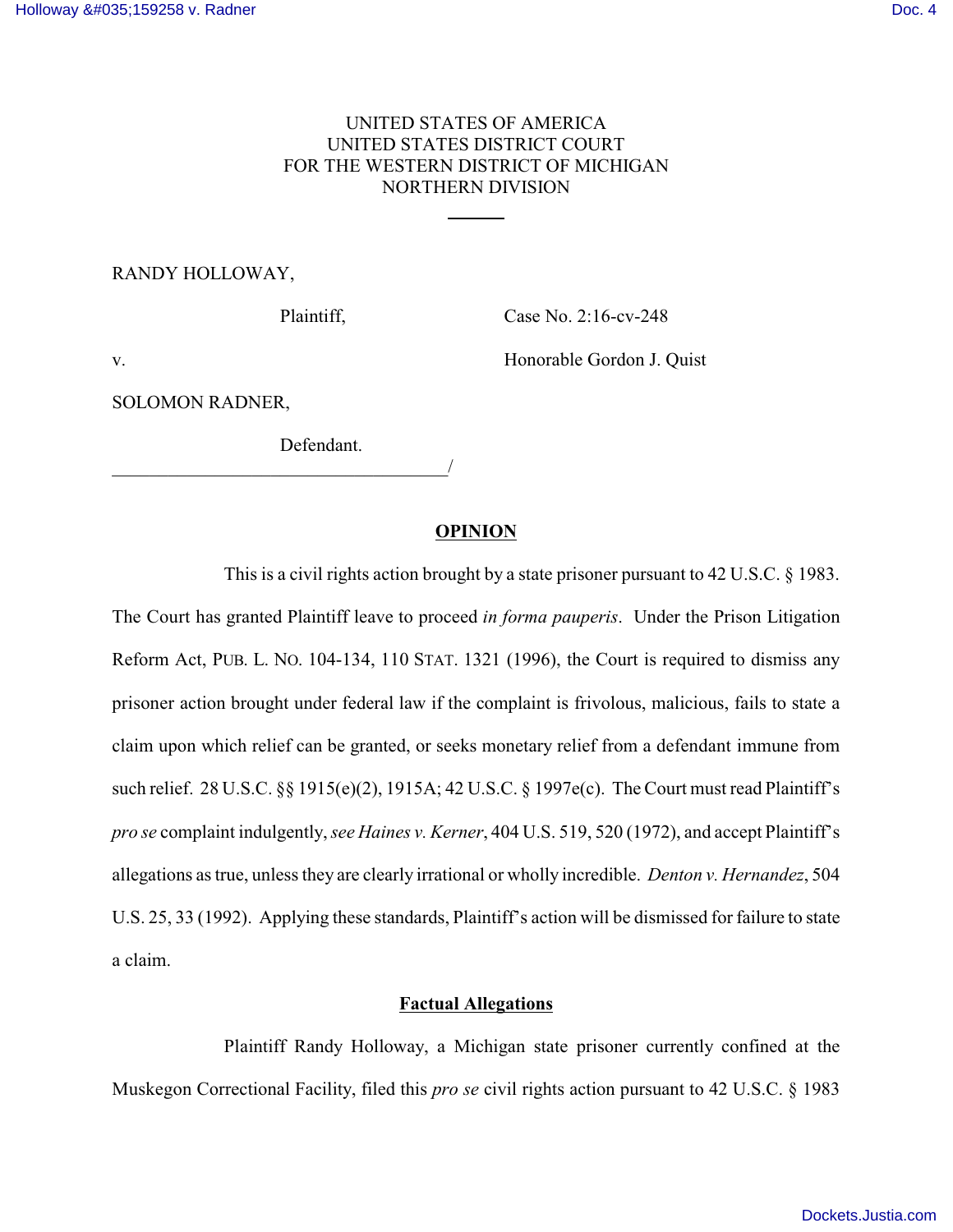## UNITED STATES OF AMERICA UNITED STATES DISTRICT COURT FOR THE WESTERN DISTRICT OF MICHIGAN NORTHERN DIVISION

 $\overline{a}$ 

#### RANDY HOLLOWAY,

Plaintiff, Case No. 2:16-cv-248

v. Honorable Gordon J. Quist

SOLOMON RADNER,

Defendant.

# \_\_\_\_\_\_\_\_\_\_\_\_\_\_\_\_\_\_\_\_\_\_\_\_\_\_\_\_\_\_\_\_\_\_\_\_/

#### **OPINION**

This is a civil rights action brought by a state prisoner pursuant to 42 U.S.C. § 1983. The Court has granted Plaintiff leave to proceed *in forma pauperis*. Under the Prison Litigation Reform Act, PUB. L. NO. 104-134, 110 STAT. 1321 (1996), the Court is required to dismiss any prisoner action brought under federal law if the complaint is frivolous, malicious, fails to state a claim upon which relief can be granted, or seeks monetary relief from a defendant immune from such relief. 28 U.S.C. §§ 1915(e)(2), 1915A; 42 U.S.C. § 1997e(c). The Court must read Plaintiff's *pro se* complaint indulgently, *see Haines v. Kerner*, 404 U.S. 519, 520 (1972), and accept Plaintiff's allegations as true, unless they are clearly irrational or wholly incredible. *Denton v. Hernandez*, 504 U.S. 25, 33 (1992). Applying these standards, Plaintiff's action will be dismissed for failure to state a claim.

#### **Factual Allegations**

Plaintiff Randy Holloway, a Michigan state prisoner currently confined at the Muskegon Correctional Facility, filed this *pro se* civil rights action pursuant to 42 U.S.C. § 1983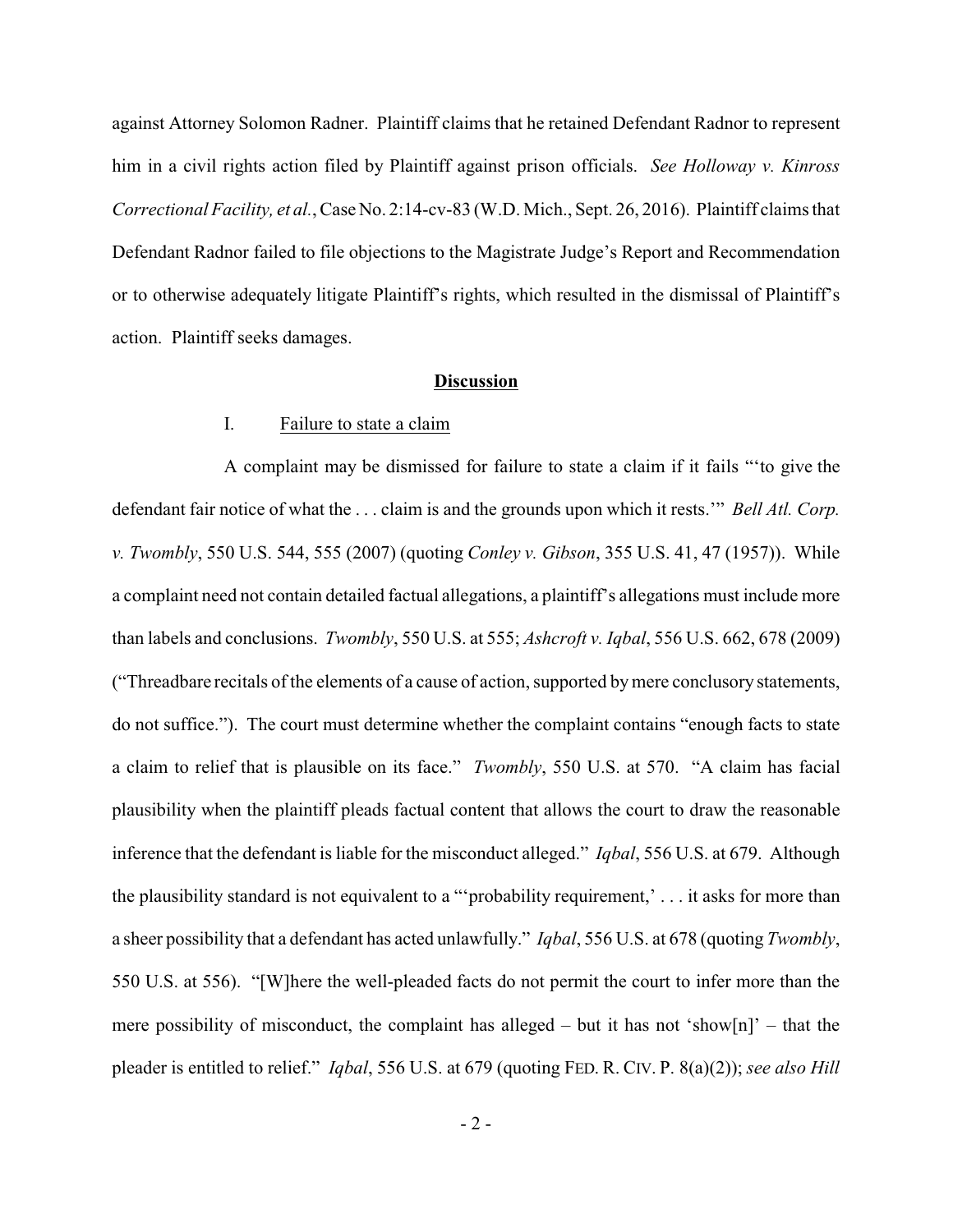against Attorney Solomon Radner. Plaintiff claims that he retained Defendant Radnor to represent him in a civil rights action filed by Plaintiff against prison officials. *See Holloway v. Kinross Correctional Facility, et al.*, Case No. 2:14-cv-83 (W.D. Mich., Sept. 26, 2016). Plaintiff claims that Defendant Radnor failed to file objections to the Magistrate Judge's Report and Recommendation or to otherwise adequately litigate Plaintiff's rights, which resulted in the dismissal of Plaintiff's action. Plaintiff seeks damages.

#### **Discussion**

### I. Failure to state a claim

A complaint may be dismissed for failure to state a claim if it fails "'to give the defendant fair notice of what the . . . claim is and the grounds upon which it rests.'" *Bell Atl. Corp. v. Twombly*, 550 U.S. 544, 555 (2007) (quoting *Conley v. Gibson*, 355 U.S. 41, 47 (1957)). While a complaint need not contain detailed factual allegations, a plaintiff's allegations must include more than labels and conclusions. *Twombly*, 550 U.S. at 555; *Ashcroft v. Iqbal*, 556 U.S. 662, 678 (2009) ("Threadbare recitals of the elements of a cause of action, supported bymere conclusory statements, do not suffice."). The court must determine whether the complaint contains "enough facts to state a claim to relief that is plausible on its face." *Twombly*, 550 U.S. at 570. "A claim has facial plausibility when the plaintiff pleads factual content that allows the court to draw the reasonable inference that the defendant is liable for the misconduct alleged." *Iqbal*, 556 U.S. at 679. Although the plausibility standard is not equivalent to a "'probability requirement,' . . . it asks for more than a sheer possibility that a defendant has acted unlawfully." *Iqbal*, 556 U.S. at 678 (quoting *Twombly*, 550 U.S. at 556). "[W]here the well-pleaded facts do not permit the court to infer more than the mere possibility of misconduct, the complaint has alleged – but it has not 'show[n]' – that the pleader is entitled to relief." *Iqbal*, 556 U.S. at 679 (quoting FED. R. CIV. P. 8(a)(2)); *see also Hill*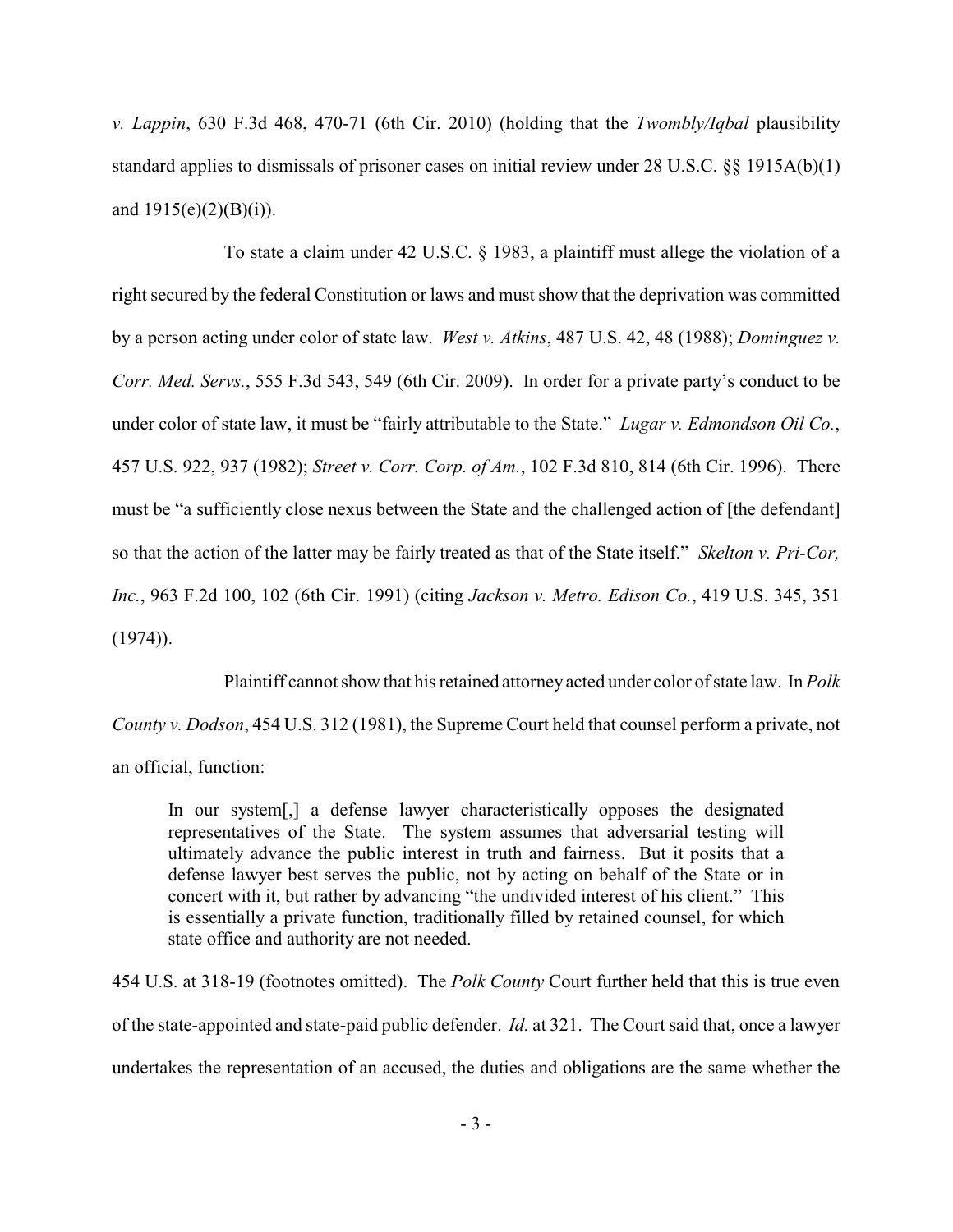*v. Lappin*, 630 F.3d 468, 470-71 (6th Cir. 2010) (holding that the *Twombly/Iqbal* plausibility standard applies to dismissals of prisoner cases on initial review under 28 U.S.C. §§ 1915A(b)(1) and  $1915(e)(2)(B)(i)$ .

To state a claim under 42 U.S.C. § 1983, a plaintiff must allege the violation of a right secured by the federal Constitution or laws and must show that the deprivation was committed by a person acting under color of state law. *West v. Atkins*, 487 U.S. 42, 48 (1988); *Dominguez v. Corr. Med. Servs.*, 555 F.3d 543, 549 (6th Cir. 2009). In order for a private party's conduct to be under color of state law, it must be "fairly attributable to the State." *Lugar v. Edmondson Oil Co.*, 457 U.S. 922, 937 (1982); *Street v. Corr. Corp. of Am.*, 102 F.3d 810, 814 (6th Cir. 1996). There must be "a sufficiently close nexus between the State and the challenged action of [the defendant] so that the action of the latter may be fairly treated as that of the State itself." *Skelton v. Pri-Cor, Inc.*, 963 F.2d 100, 102 (6th Cir. 1991) (citing *Jackson v. Metro. Edison Co.*, 419 U.S. 345, 351  $(1974)$ .

Plaintiff cannot show that his retained attorney acted under color of state law. In *Polk County v. Dodson*, 454 U.S. 312 (1981), the Supreme Court held that counsel perform a private, not an official, function:

In our system[,] a defense lawyer characteristically opposes the designated representatives of the State. The system assumes that adversarial testing will ultimately advance the public interest in truth and fairness. But it posits that a defense lawyer best serves the public, not by acting on behalf of the State or in concert with it, but rather by advancing "the undivided interest of his client." This is essentially a private function, traditionally filled by retained counsel, for which state office and authority are not needed.

454 U.S. at 318-19 (footnotes omitted). The *Polk County* Court further held that this is true even of the state-appointed and state-paid public defender. *Id.* at 321. The Court said that, once a lawyer undertakes the representation of an accused, the duties and obligations are the same whether the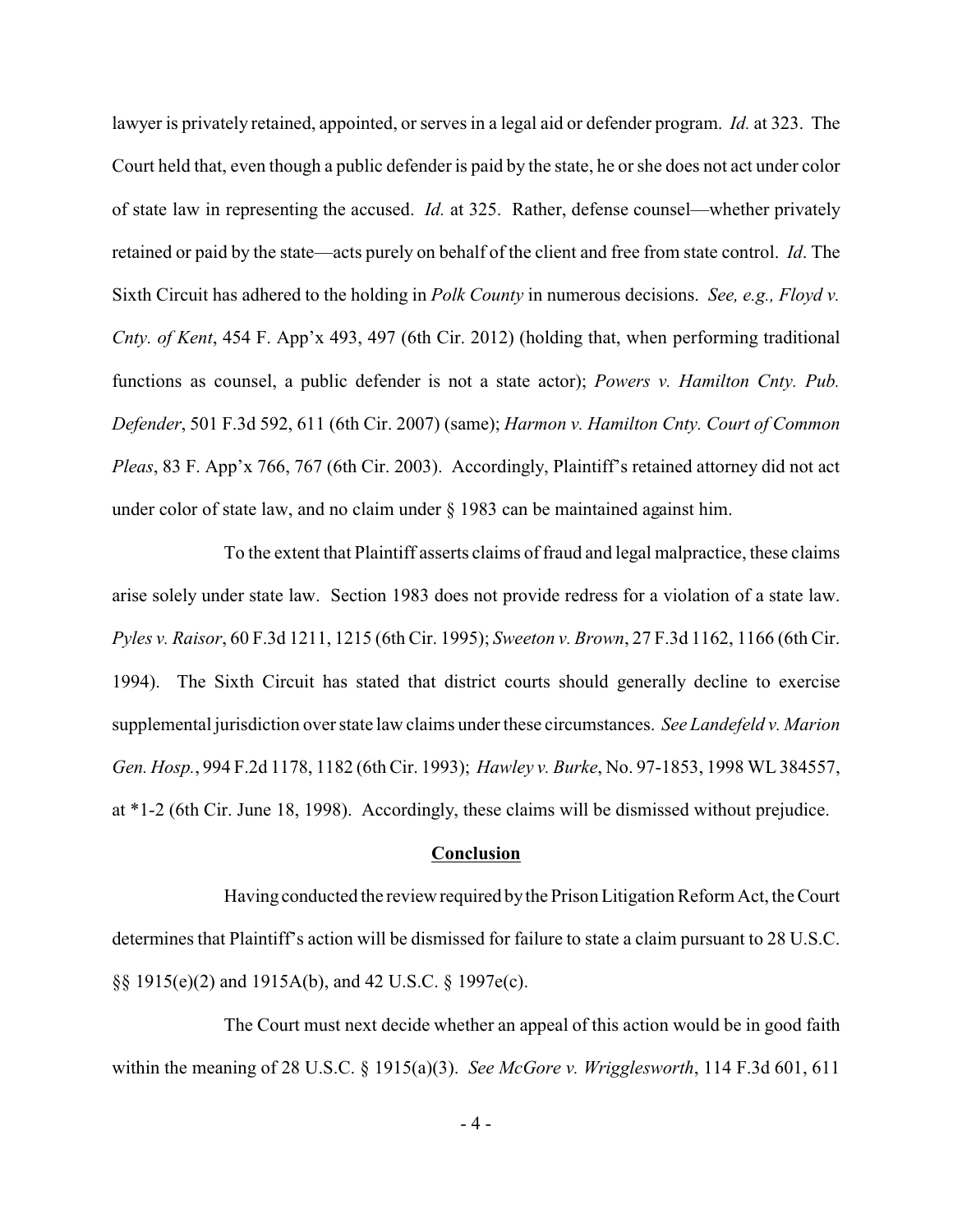lawyer is privately retained, appointed, or serves in a legal aid or defender program. *Id.* at 323. The Court held that, even though a public defender is paid by the state, he or she does not act under color of state law in representing the accused. *Id.* at 325. Rather, defense counsel—whether privately retained or paid by the state—acts purely on behalf of the client and free from state control. *Id*. The Sixth Circuit has adhered to the holding in *Polk County* in numerous decisions. *See, e.g., Floyd v. Cnty. of Kent*, 454 F. App'x 493, 497 (6th Cir. 2012) (holding that, when performing traditional functions as counsel, a public defender is not a state actor); *Powers v. Hamilton Cnty. Pub. Defender*, 501 F.3d 592, 611 (6th Cir. 2007) (same); *Harmon v. Hamilton Cnty. Court of Common Pleas*, 83 F. App'x 766, 767 (6th Cir. 2003). Accordingly, Plaintiff's retained attorney did not act under color of state law, and no claim under § 1983 can be maintained against him.

To the extent that Plaintiff asserts claims of fraud and legal malpractice, these claims arise solely under state law. Section 1983 does not provide redress for a violation of a state law. *Pyles v. Raisor*, 60 F.3d 1211, 1215 (6th Cir. 1995); *Sweeton v. Brown*, 27 F.3d 1162, 1166 (6th Cir. 1994). The Sixth Circuit has stated that district courts should generally decline to exercise supplemental jurisdiction over state law claims under these circumstances. *See Landefeld v. Marion Gen. Hosp.*, 994 F.2d 1178, 1182 (6th Cir. 1993); *Hawley v. Burke*, No. 97-1853, 1998 WL 384557, at \*1-2 (6th Cir. June 18, 1998). Accordingly, these claims will be dismissed without prejudice.

#### **Conclusion**

Having conducted the review required bythe Prison Litigation Reform Act, the Court determines that Plaintiff's action will be dismissed for failure to state a claim pursuant to 28 U.S.C. §§ 1915(e)(2) and 1915A(b), and 42 U.S.C. § 1997e(c).

The Court must next decide whether an appeal of this action would be in good faith within the meaning of 28 U.S.C. § 1915(a)(3). *See McGore v. Wrigglesworth*, 114 F.3d 601, 611